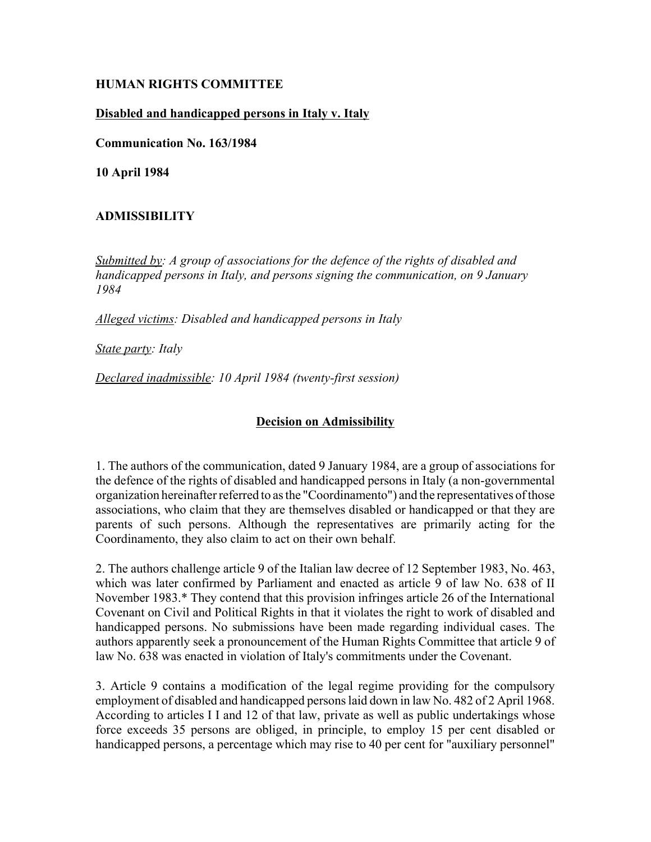# **HUMAN RIGHTS COMMITTEE**

## **Disabled and handicapped persons in Italy v. Italy**

**Communication No. 163/1984**

**10 April 1984**

# **ADMISSIBILITY**

*Submitted by: A group of associations for the defence of the rights of disabled and handicapped persons in Italy, and persons signing the communication, on 9 January 1984* 

*Alleged victims: Disabled and handicapped persons in Italy* 

*State party: Italy* 

*Declared inadmissible: 10 April 1984 (twenty-first session)* 

#### **Decision on Admissibility**

1. The authors of the communication, dated 9 January 1984, are a group of associations for the defence of the rights of disabled and handicapped persons in Italy (a non-governmental organization hereinafter referred to as the "Coordinamento") and the representatives of those associations, who claim that they are themselves disabled or handicapped or that they are parents of such persons. Although the representatives are primarily acting for the Coordinamento, they also claim to act on their own behalf.

2. The authors challenge article 9 of the Italian law decree of 12 September 1983, No. 463, which was later confirmed by Parliament and enacted as article 9 of law No. 638 of II November 1983.\* They contend that this provision infringes article 26 of the International Covenant on Civil and Political Rights in that it violates the right to work of disabled and handicapped persons. No submissions have been made regarding individual cases. The authors apparently seek a pronouncement of the Human Rights Committee that article 9 of law No. 638 was enacted in violation of Italy's commitments under the Covenant.

3. Article 9 contains a modification of the legal regime providing for the compulsory employment of disabled and handicapped persons laid down in law No. 482 of 2 April 1968. According to articles I I and 12 of that law, private as well as public undertakings whose force exceeds 35 persons are obliged, in principle, to employ 15 per cent disabled or handicapped persons, a percentage which may rise to 40 per cent for "auxiliary personnel"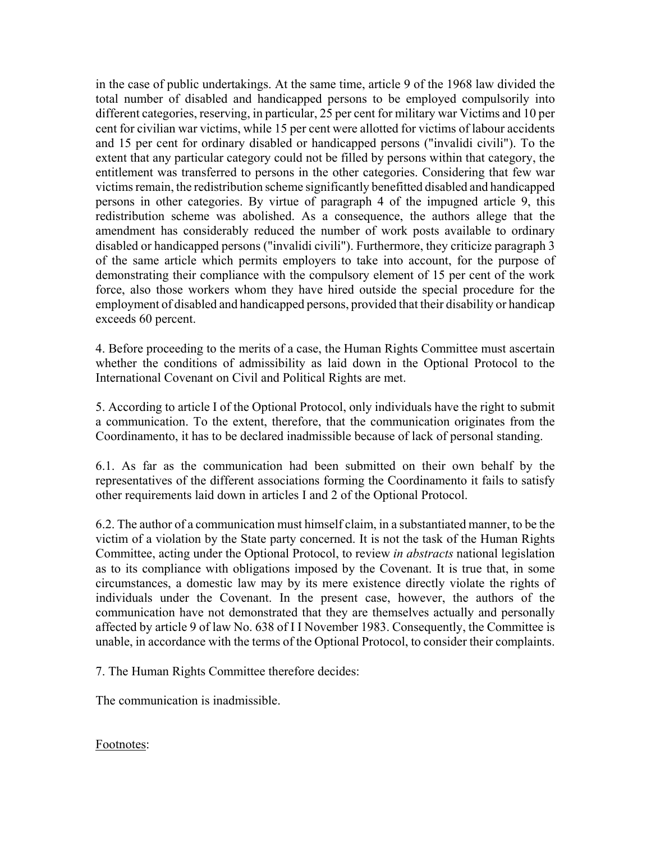in the case of public undertakings. At the same time, article 9 of the 1968 law divided the total number of disabled and handicapped persons to be employed compulsorily into different categories, reserving, in particular, 25 per cent for military war Victims and 10 per cent for civilian war victims, while 15 per cent were allotted for victims of labour accidents and 15 per cent for ordinary disabled or handicapped persons ("invalidi civili"). To the extent that any particular category could not be filled by persons within that category, the entitlement was transferred to persons in the other categories. Considering that few war victims remain, the redistribution scheme significantly benefitted disabled and handicapped persons in other categories. By virtue of paragraph 4 of the impugned article 9, this redistribution scheme was abolished. As a consequence, the authors allege that the amendment has considerably reduced the number of work posts available to ordinary disabled or handicapped persons ("invalidi civili"). Furthermore, they criticize paragraph 3 of the same article which permits employers to take into account, for the purpose of demonstrating their compliance with the compulsory element of 15 per cent of the work force, also those workers whom they have hired outside the special procedure for the employment of disabled and handicapped persons, provided that their disability or handicap exceeds 60 percent.

4. Before proceeding to the merits of a case, the Human Rights Committee must ascertain whether the conditions of admissibility as laid down in the Optional Protocol to the International Covenant on Civil and Political Rights are met.

5. According to article I of the Optional Protocol, only individuals have the right to submit a communication. To the extent, therefore, that the communication originates from the Coordinamento, it has to be declared inadmissible because of lack of personal standing.

6.1. As far as the communication had been submitted on their own behalf by the representatives of the different associations forming the Coordinamento it fails to satisfy other requirements laid down in articles I and 2 of the Optional Protocol.

6.2. The author of a communication must himself claim, in a substantiated manner, to be the victim of a violation by the State party concerned. It is not the task of the Human Rights Committee, acting under the Optional Protocol, to review *in abstracts* national legislation as to its compliance with obligations imposed by the Covenant. It is true that, in some circumstances, a domestic law may by its mere existence directly violate the rights of individuals under the Covenant. In the present case, however, the authors of the communication have not demonstrated that they are themselves actually and personally affected by article 9 of law No. 638 of I I November 1983. Consequently, the Committee is unable, in accordance with the terms of the Optional Protocol, to consider their complaints.

7. The Human Rights Committee therefore decides:

The communication is inadmissible.

Footnotes: